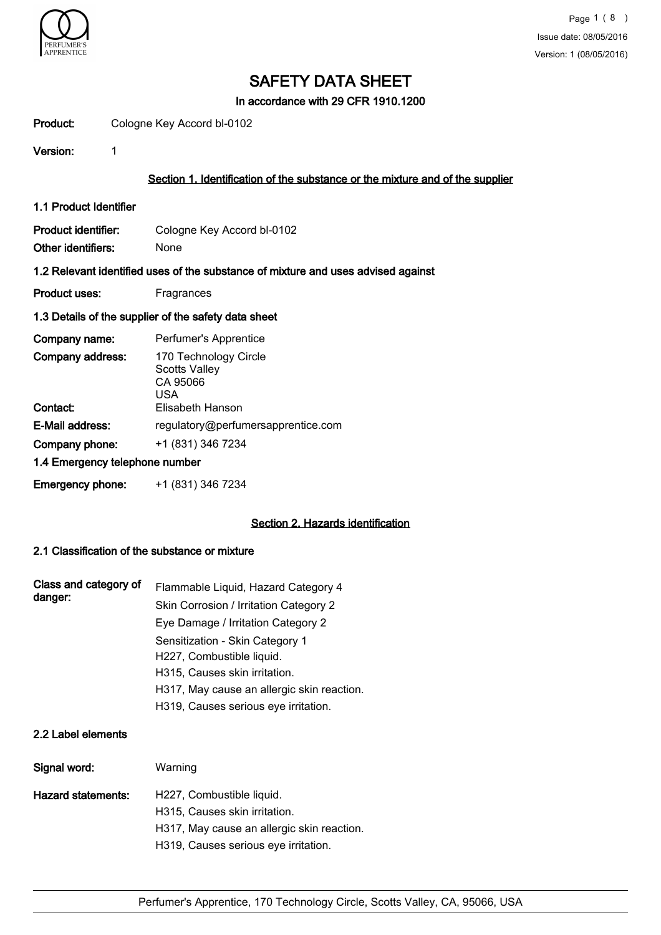

In accordance with 29 CFR 1910.1200

| Product: | Cologne Key Accord bl-0102 |  |
|----------|----------------------------|--|
|          |                            |  |

Version: 1

#### Section 1. Identification of the substance or the mixture and of the supplier

1.1 Product Identifier

Product identifier: Cologne Key Accord bl-0102 Other identifiers: None

#### 1.2 Relevant identified uses of the substance of mixture and uses advised against

Product uses: Fragrances

#### 1.3 Details of the supplier of the safety data sheet

| Company name:                  | Perfumer's Apprentice                                            |
|--------------------------------|------------------------------------------------------------------|
| Company address:               | 170 Technology Circle<br><b>Scotts Valley</b><br>CA 95066<br>USA |
| Contact:                       | Elisabeth Hanson                                                 |
| E-Mail address:                | regulatory@perfumersapprentice.com                               |
| Company phone:                 | +1 (831) 346 7234                                                |
| 1.4 Emergency telephone number |                                                                  |
| <b>Emergency phone:</b>        | +1 (831) 346 7234                                                |

#### Section 2. Hazards identification

### 2.1 Classification of the substance or mixture

| Class and category of<br>danger: | Flammable Liquid, Hazard Category 4        |
|----------------------------------|--------------------------------------------|
|                                  | Skin Corrosion / Irritation Category 2     |
|                                  | Eye Damage / Irritation Category 2         |
|                                  | Sensitization - Skin Category 1            |
|                                  | H227, Combustible liquid.                  |
|                                  | H315, Causes skin irritation.              |
|                                  | H317, May cause an allergic skin reaction. |
|                                  | H319, Causes serious eye irritation.       |

#### 2.2 Label elements

| Signal word:       | Warning                                                    |
|--------------------|------------------------------------------------------------|
| Hazard statements: | H227, Combustible liquid.<br>H315, Causes skin irritation. |
|                    | H317, May cause an allergic skin reaction.                 |
|                    | H319, Causes serious eye irritation.                       |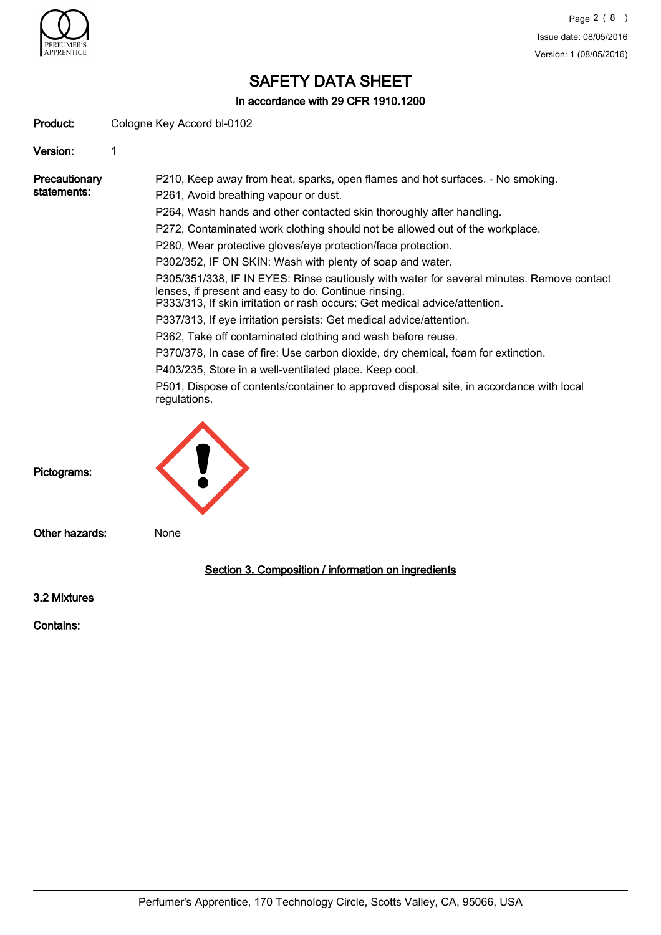

In accordance with 29 CFR 1910.1200

Product: Cologne Key Accord bl-0102

Version: 1

**Precautionary** statements: P210, Keep away from heat, sparks, open flames and hot surfaces. - No smoking. P261, Avoid breathing vapour or dust. P264, Wash hands and other contacted skin thoroughly after handling. P272, Contaminated work clothing should not be allowed out of the workplace. P280, Wear protective gloves/eye protection/face protection. P302/352, IF ON SKIN: Wash with plenty of soap and water. P305/351/338, IF IN EYES: Rinse cautiously with water for several minutes. Remove contact lenses, if present and easy to do. Continue rinsing. P333/313, If skin irritation or rash occurs: Get medical advice/attention. P337/313, If eye irritation persists: Get medical advice/attention. P362, Take off contaminated clothing and wash before reuse. P370/378, In case of fire: Use carbon dioxide, dry chemical, foam for extinction. P403/235, Store in a well-ventilated place. Keep cool. P501, Dispose of contents/container to approved disposal site, in accordance with local regulations. Pictograms: Other hazards: None 3.2 Mixtures Section 3. Composition / information on ingredients

Contains: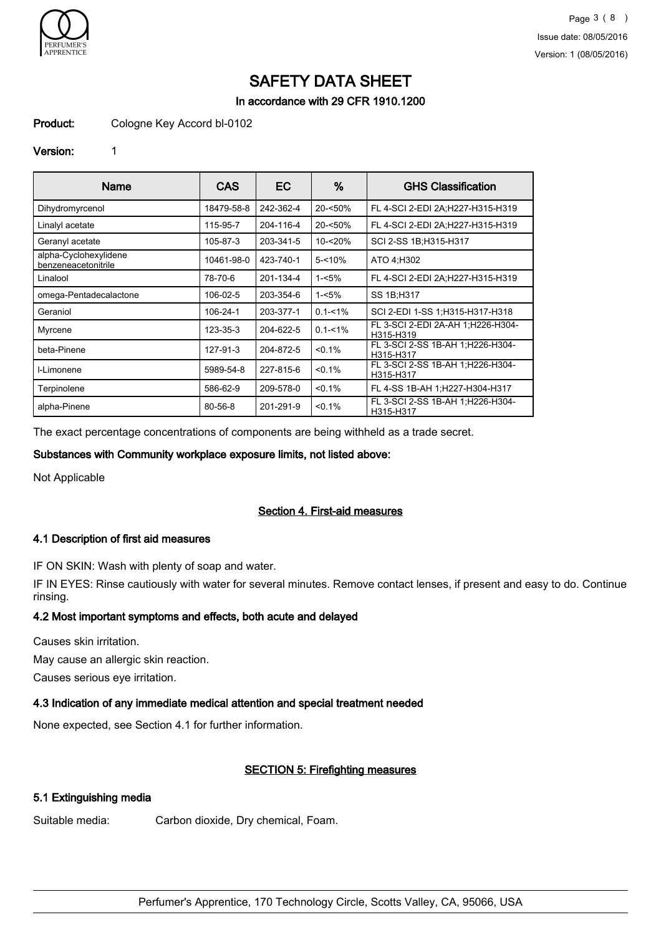

In accordance with 29 CFR 1910.1200

Product: Cologne Key Accord bl-0102

#### Version: 1

| Name                                         | CAS        | EC.       | %           | <b>GHS Classification</b>                      |
|----------------------------------------------|------------|-----------|-------------|------------------------------------------------|
| Dihydromyrcenol                              | 18479-58-8 | 242-362-4 | 20-<50%     | FL 4-SCI 2-EDI 2A;H227-H315-H319               |
| Linalyl acetate                              | 115-95-7   | 204-116-4 | $20 - 50%$  | FL 4-SCI 2-EDI 2A;H227-H315-H319               |
| Geranyl acetate                              | 105-87-3   | 203-341-5 | 10-<20%     | SCI 2-SS 1B:H315-H317                          |
| alpha-Cyclohexylidene<br>benzeneacetonitrile | 10461-98-0 | 423-740-1 | $5 - 10%$   | ATO 4:H302                                     |
| Linalool                                     | 78-70-6    | 201-134-4 | $1 - 5%$    | FL 4-SCI 2-EDI 2A;H227-H315-H319               |
| omega-Pentadecalactone                       | 106-02-5   | 203-354-6 | 1-<5%       | SS 1B;H317                                     |
| Geraniol                                     | 106-24-1   | 203-377-1 | $0.1 - 1\%$ | SCI 2-EDI 1-SS 1; H315-H317-H318               |
| Myrcene                                      | 123-35-3   | 204-622-5 | $0.1 - 1\%$ | FL 3-SCI 2-EDI 2A-AH 1:H226-H304-<br>H315-H319 |
| beta-Pinene                                  | 127-91-3   | 204-872-5 | < 0.1%      | FL 3-SCI 2-SS 1B-AH 1;H226-H304-<br>H315-H317  |
| I-Limonene                                   | 5989-54-8  | 227-815-6 | < 0.1%      | FL 3-SCI 2-SS 1B-AH 1;H226-H304-<br>H315-H317  |
| Terpinolene                                  | 586-62-9   | 209-578-0 | < 0.1%      | FL 4-SS 1B-AH 1:H227-H304-H317                 |
| alpha-Pinene                                 | 80-56-8    | 201-291-9 | < 0.1%      | FL 3-SCI 2-SS 1B-AH 1;H226-H304-<br>H315-H317  |

The exact percentage concentrations of components are being withheld as a trade secret.

#### Substances with Community workplace exposure limits, not listed above:

Not Applicable

#### Section 4. First-aid measures

#### 4.1 Description of first aid measures

IF ON SKIN: Wash with plenty of soap and water.

IF IN EYES: Rinse cautiously with water for several minutes. Remove contact lenses, if present and easy to do. Continue rinsing.

#### 4.2 Most important symptoms and effects, both acute and delayed

Causes skin irritation. May cause an allergic skin reaction.

Causes serious eye irritation.

#### 4.3 Indication of any immediate medical attention and special treatment needed

None expected, see Section 4.1 for further information.

# SECTION 5: Firefighting measures

## 5.1 Extinguishing media

Suitable media: Carbon dioxide, Dry chemical, Foam.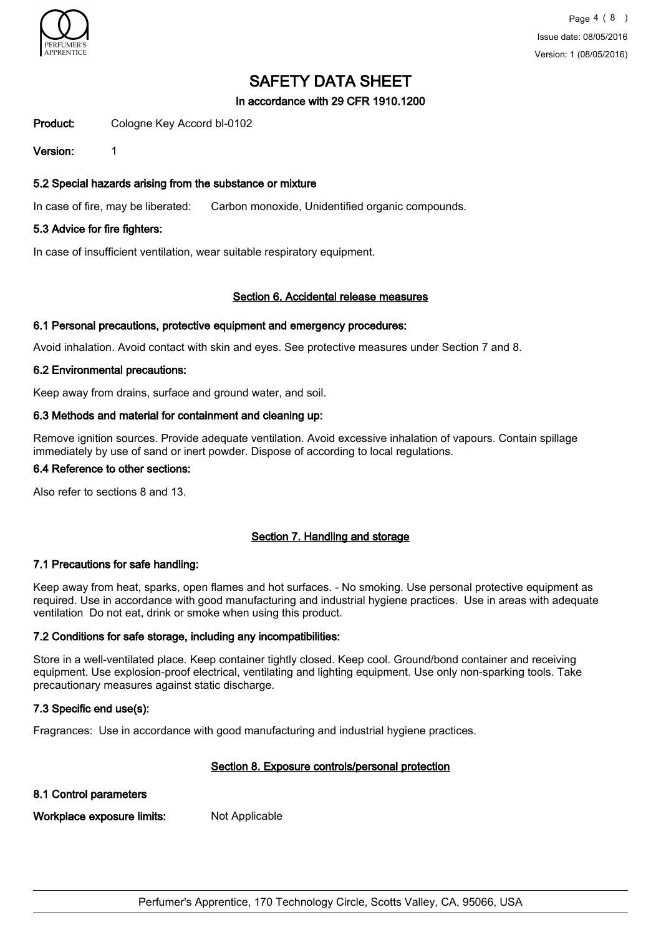

#### In accordance with 29 CFR 1910.1200

Product: Cologne Key Accord bl-0102

Version: 1

#### 5.2 Special hazards arising from the substance or mixture

In case of fire, may be liberated: Carbon monoxide, Unidentified organic compounds.

#### 5.3 Advice for fire fighters:

In case of insufficient ventilation, wear suitable respiratory equipment.

#### Section 6. Accidental release measures

#### 6.1 Personal precautions, protective equipment and emergency procedures:

Avoid inhalation. Avoid contact with skin and eyes. See protective measures under Section 7 and 8.

#### 6.2 Environmental precautions:

Keep away from drains, surface and ground water, and soil.

#### 6.3 Methods and material for containment and cleaning up:

Remove ignition sources. Provide adequate ventilation. Avoid excessive inhalation of vapours. Contain spillage immediately by use of sand or inert powder. Dispose of according to local regulations.

# 6.4 Reference to other sections:

Also refer to sections 8 and 13.

#### Section 7. Handling and storage

#### 7.1 Precautions for safe handling:

Keep away from heat, sparks, open flames and hot surfaces. - No smoking. Use personal protective equipment as required. Use in accordance with good manufacturing and industrial hygiene practices. Use in areas with adequate ventilation Do not eat, drink or smoke when using this product.

#### 7.2 Conditions for safe storage, including any incompatibilities:

Store in a well-ventilated place. Keep container tightly closed. Keep cool. Ground/bond container and receiving equipment. Use explosion-proof electrical, ventilating and lighting equipment. Use only non-sparking tools. Take precautionary measures against static discharge.

#### 7.3 Specific end use(s):

Fragrances: Use in accordance with good manufacturing and industrial hygiene practices.

#### Section 8. Exposure controls/personal protection

#### 8.1 Control parameters

Workplace exposure limits: Not Applicable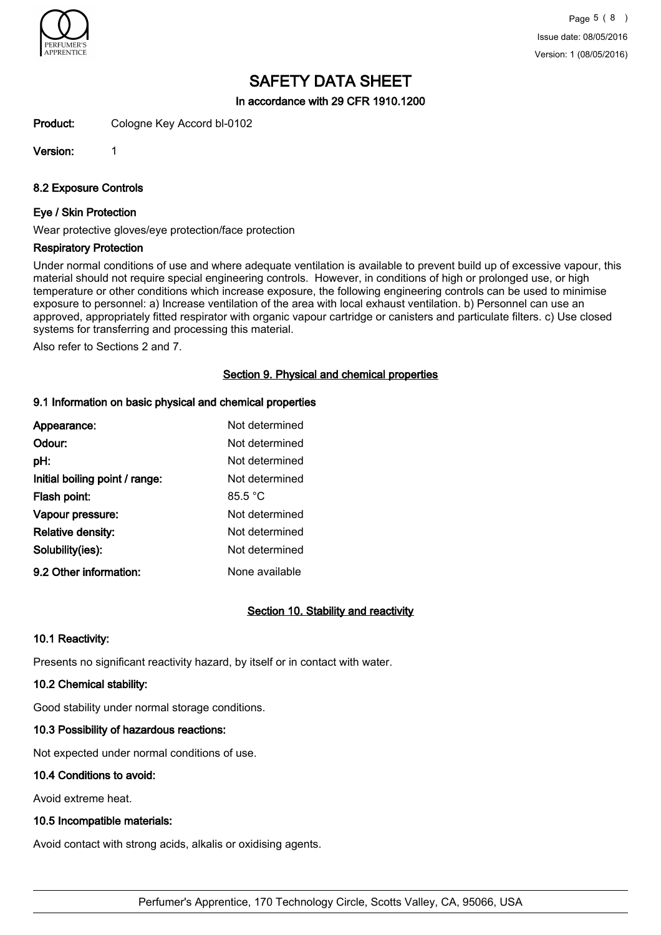

In accordance with 29 CFR 1910.1200

Product: Cologne Key Accord bl-0102

Version: 1

8.2 Exposure Controls

#### Eye / Skin Protection

Wear protective gloves/eye protection/face protection

#### Respiratory Protection

Under normal conditions of use and where adequate ventilation is available to prevent build up of excessive vapour, this material should not require special engineering controls. However, in conditions of high or prolonged use, or high temperature or other conditions which increase exposure, the following engineering controls can be used to minimise exposure to personnel: a) Increase ventilation of the area with local exhaust ventilation. b) Personnel can use an approved, appropriately fitted respirator with organic vapour cartridge or canisters and particulate filters. c) Use closed systems for transferring and processing this material.

Also refer to Sections 2 and 7.

#### Section 9. Physical and chemical properties

#### 9.1 Information on basic physical and chemical properties

| Appearance:                    | Not determined |
|--------------------------------|----------------|
| Odour:                         | Not determined |
| pH:                            | Not determined |
| Initial boiling point / range: | Not determined |
| Flash point:                   | 85.5 °C        |
| Vapour pressure:               | Not determined |
| <b>Relative density:</b>       | Not determined |
| Solubility(ies):               | Not determined |
| 9.2 Other information:         | None available |

# Section 10. Stability and reactivity

#### 10.1 Reactivity:

Presents no significant reactivity hazard, by itself or in contact with water.

# 10.2 Chemical stability:

Good stability under normal storage conditions.

# 10.3 Possibility of hazardous reactions:

Not expected under normal conditions of use.

# 10.4 Conditions to avoid:

Avoid extreme heat.

# 10.5 Incompatible materials:

Avoid contact with strong acids, alkalis or oxidising agents.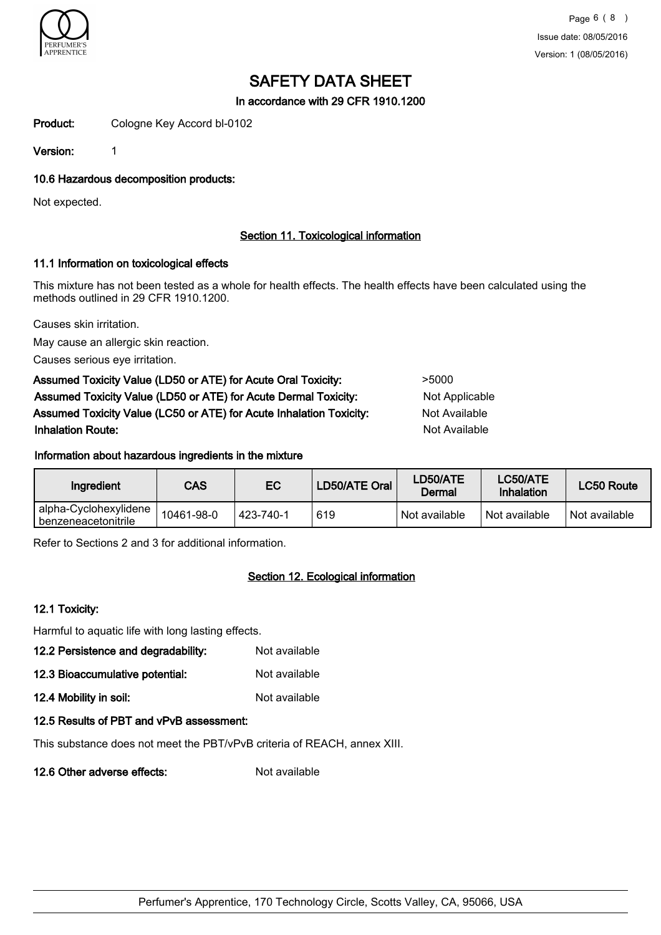

In accordance with 29 CFR 1910.1200

Product: Cologne Key Accord bl-0102

Version: 1

10.6 Hazardous decomposition products:

Not expected.

## Section 11. Toxicological information

#### 11.1 Information on toxicological effects

This mixture has not been tested as a whole for health effects. The health effects have been calculated using the methods outlined in 29 CFR 1910.1200.

Causes skin irritation.

May cause an allergic skin reaction.

Causes serious eye irritation.

| Assumed Toxicity Value (LD50 or ATE) for Acute Oral Toxicity:       | >5000          |
|---------------------------------------------------------------------|----------------|
| Assumed Toxicity Value (LD50 or ATE) for Acute Dermal Toxicity:     | Not Applicable |
| Assumed Toxicity Value (LC50 or ATE) for Acute Inhalation Toxicity: | Not Available  |
| <b>Inhalation Route:</b>                                            | Not Available  |

#### Information about hazardous ingredients in the mixture

| Ingredient                                   | CAS        | EC        | LD50/ATE Oral | LD50/ATE<br>Dermal | LC50/ATE<br>Inhalation | <b>LC50 Route</b> |
|----------------------------------------------|------------|-----------|---------------|--------------------|------------------------|-------------------|
| alpha-Cyclohexylidene<br>benzeneacetonitrile | 10461-98-0 | 423-740-1 | 619           | Not available      | Not available          | Not available     |

Refer to Sections 2 and 3 for additional information.

# Section 12. Ecological information

#### 12.1 Toxicity:

Harmful to aquatic life with long lasting effects.

- 12.2 Persistence and degradability: Not available
- 12.3 Bioaccumulative potential: Not available
- 12.4 Mobility in soil: Not available

# 12.5 Results of PBT and vPvB assessment:

This substance does not meet the PBT/vPvB criteria of REACH, annex XIII.

12.6 Other adverse effects: Not available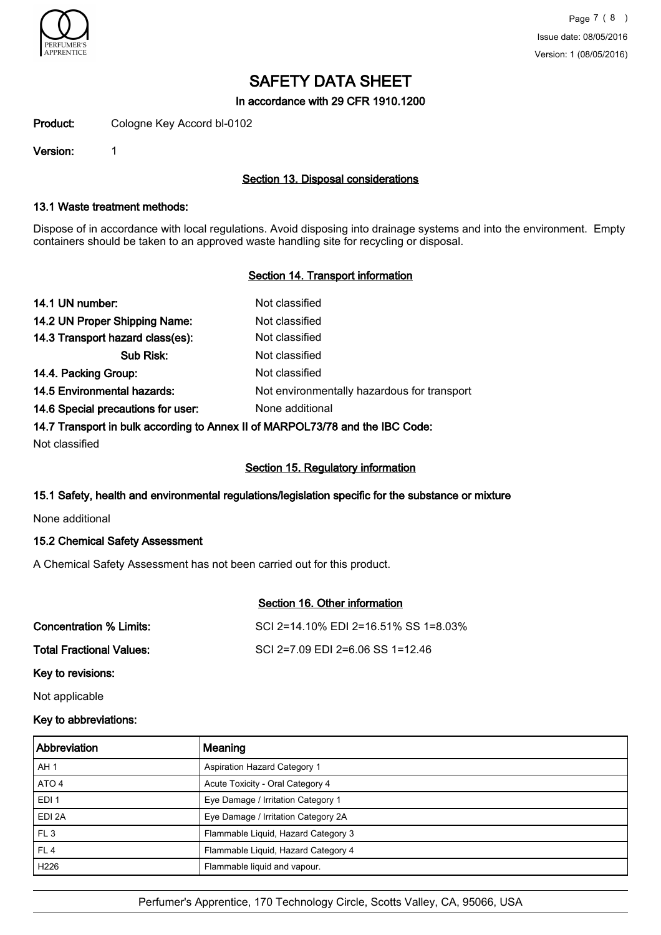

In accordance with 29 CFR 1910.1200

Product: Cologne Key Accord bl-0102

Version: 1

## Section 13. Disposal considerations

#### 13.1 Waste treatment methods:

Dispose of in accordance with local regulations. Avoid disposing into drainage systems and into the environment. Empty containers should be taken to an approved waste handling site for recycling or disposal.

## Section 14. Transport information

| 14.1 UN number:                                                               | Not classified                              |
|-------------------------------------------------------------------------------|---------------------------------------------|
| 14.2 UN Proper Shipping Name:                                                 | Not classified                              |
| 14.3 Transport hazard class(es):                                              | Not classified                              |
| Sub Risk:                                                                     | Not classified                              |
| 14.4. Packing Group:                                                          | Not classified                              |
| 14.5 Environmental hazards:                                                   | Not environmentally hazardous for transport |
| 14.6 Special precautions for user:                                            | None additional                             |
| 14.7 Transport in bulk according to Annex II of MARPOL73/78 and the IBC Code: |                                             |
|                                                                               |                                             |

Not classified

#### Section 15. Regulatory information

Section 16. Other information

#### 15.1 Safety, health and environmental regulations/legislation specific for the substance or mixture

None additional

### 15.2 Chemical Safety Assessment

A Chemical Safety Assessment has not been carried out for this product.

| Concentration % Limits:         | SCI 2=14.10% EDI 2=16.51% SS 1=8.03% |
|---------------------------------|--------------------------------------|
| <b>Total Fractional Values:</b> | SCI 2=7.09 EDI 2=6.06 SS 1=12.46     |
| Key to revisions:               |                                      |

Not applicable

# Key to abbreviations:

| <b>Abbreviation</b> | Meaning                             |
|---------------------|-------------------------------------|
| AH <sub>1</sub>     | <b>Aspiration Hazard Category 1</b> |
| ATO 4               | Acute Toxicity - Oral Category 4    |
| EDI <sub>1</sub>    | Eye Damage / Irritation Category 1  |
| EDI 2A              | Eye Damage / Irritation Category 2A |
| FL <sub>3</sub>     | Flammable Liquid, Hazard Category 3 |
| FL <sub>4</sub>     | Flammable Liquid, Hazard Category 4 |
| H <sub>226</sub>    | Flammable liquid and vapour.        |